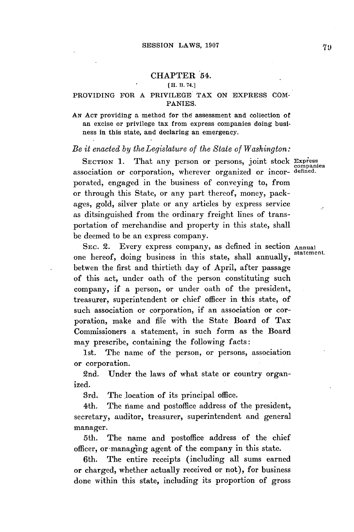# CHAPTER 54.

#### **[H. B. 74.]**

## PROVIDING FOR **A** PRIVILEGE TAX **ON** EXPRESS **COM-**PANIES.

**AN ACT** providing a method for the assessment and collection of an excise or privilege tax from express companies doing business in this state, and declaring an emergency.

### *Be it enacted by the Legislature of the State of Washington:*

SECTION 1. That any person or persons, joint stock Express exerted in This any person or persons, John Seson companies porated, engaged in the business of conveying to, from or through this State, or any part thereof, money, packages, gold, silver plate or any articles **by** express service as ditsinguished from the ordinary freight lines of transportation of merchandise and property in this state, shall be deemed to be an express company.

SEC. 2. Every express company, as defined in section Annual one hereof, doing business in this state, shall annually, betwen the first and thirtieth day of April, after passage of this act, under oath of the person constituting such company, if a person, or under oath of the president, treasurer, superintendent or chief officer in this state, of such association or corporation, if an association or corporation, make and file with the State Board of Tax Commissioners a statement, in such form as the Board may prescribe, containing the following facts:

1st. The name of the person, or persons, association or corporation.

2nd. Under the laws of what state or country organized.

3rd. The location of its principal office.

4th. The name and postoffice address of the president, secretary, auditor, treasurer, superintendent and general manager.

5th. The name and postoffice address of the chief officer, or-managing agent of the company in this state.

6th. The entire receipts (including all sums earned or charged, whether actually received or not), for business done within this state, including its proportion of gross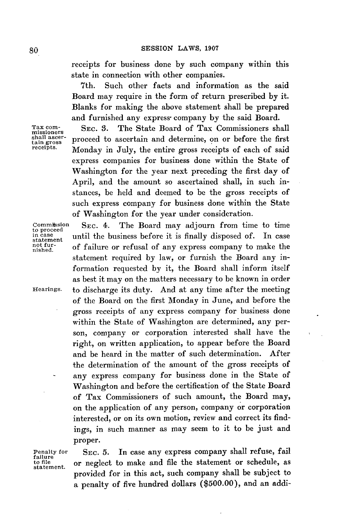receipts for business done **by** such company within this state in connection with other companies.

7th. Such other facts and information as the said Board may require in the form of return prescribed **by** it. Blanks for making the above statement shall be prepared and furnished any express company by the said Board.

Tax com- **SEC. 3.** The State Board of Tax Commissioners shall missioners  $t_{\text{total}}^{\text{small asec}}$  proceed to ascertain and determine, on or before the first<br>receipts. Monday in July, the online grees receipts of each of each Monday in July, the entire gross receipts of each of said express companies for business done within the State of Washington for the year next preceding the first day of April, and the amount so ascertained shall, in such instances, be held and deemed to be the gross receipts of such express company for business done within the State of Washington for the year under consideration.

Commitssion SEC. 4. The Board may adjourn from time to time<br>to proceed in case<br>statement until the business before it is finally disposed of. In case<br>not furnot fur- of failure or refusal of any express company to make the statement required **by** law, or furnish the Board any information requested **by** it, the Board shall inform itself as best it may on the matters necessary to be known in order Hearings. to discharge its duty. And at any time after the meeting of the Board on the first Monday in June, and before the gross receipts of any express company for business done within the State of Washington are determined, any person, company or corporation interested shall have the right, on written application, to appear before the Board and be heard in the matter of such determination. After the determination of the amount of the gross receipts of any express company for business done in the State of Washington and before the certification of the State Board of Tax Commissioners of such amount, the Board may, on the application of any person, company or corporation interested, or on its own motion, review and correct its findings, in such manner as may seem to it to be just and proper.

failure<br>to file

Penalty for SEC. **5.** In case any express company shall refuse, fail to file or neglect to make and file the statement or schedule, as statement. provided for in this act, such company shall be subject to a penalty of five hundred dollars **(\$500.00),** and an addi-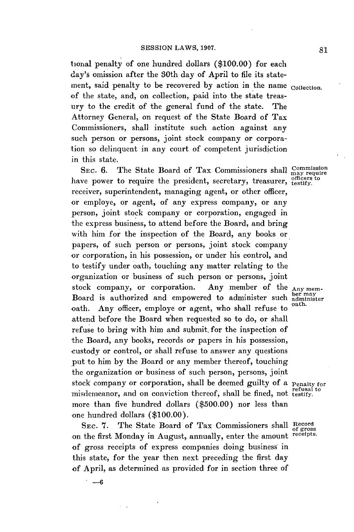tional penalty of one hundred dollars **(\$100.00)** for each day's omission after the 30th day of April to file its statement, said penalty to be recovered **by** action in the name collection. of the state, and, on collection, paid into the state treasury to the credit of the general fund of the state. The Attorney General, on request of the State Board of Tax Commissioners, shall institute such action against any such person or persons, joint stock company or corporation so delinquent in any court of competent jurisdiction in this state.

SEC. 6. The State Board of Tax Commissioners shall Commiss have power to require the president, secretary, treasurer, testify. receiver, superintendent, managing agent, or other officer, or employe, or agent, of any express company, or any person, joint stock company or corporation, engaged in the express business, to attend before the Board, and bring with him for the inspection of the Board, any books or papers, of such person or persons, joint stock company or corporation, in his possession, or under his control, and to testify under oath, touching any matter relating to the organization or business of such person or persons, joint stock company, or corporation. Any member of the stock company, or corporation. Any member of the Any mem-<br>Board is authorized and empowered to administer such administer oath. Any officer, employe or agent, who shall refuse to attend before the Board when requested so to do, or shall refuse to bring with him and submit. for the inspection of the Board, any books, records or papers in his possession, custody or control, or shall refuse to answer any questions put to him **by** the Board or any member thereof, touching the organization or business of such person, persons, joint stock company or corporation, shall be deemed guilty of a Penalty for misdemeanor, and on conviction thereof, shall be fined, not testify. more than five hundred dollars **(\$500.00)** nor less than one hundred dollars **(\$100.00).**

SEC. 7. The State Board of Tax Commissioners shall Record of the first Monday in August, annually enter the amount receipts. on the first Monday in August, annually, enter the amount of gross receipts of express companies doing business in this state, for the year then next preceding the first day of April, as determined as provided for in section three of

**-6**